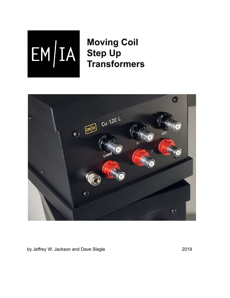

**Moving Coil Step Up Transformers** 



by Jeffrey W. Jackson and Dave Slagle 2019